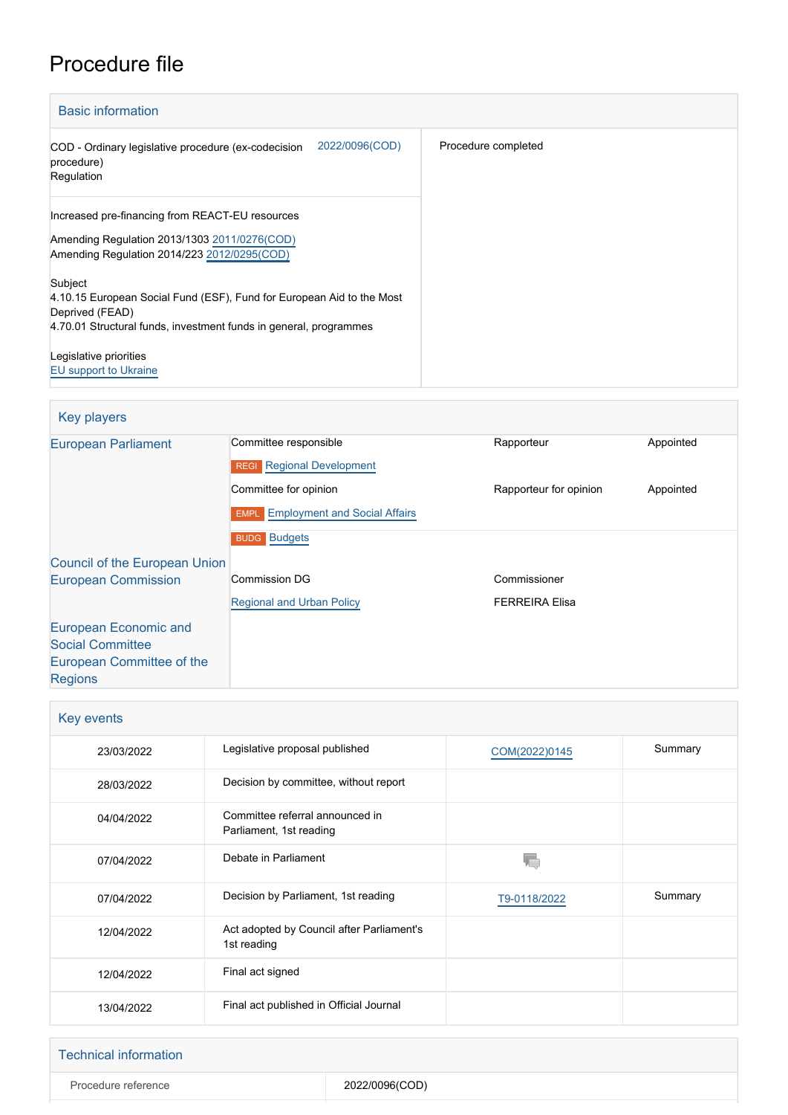# Procedure file

| <b>Basic information</b>                                                                          |                     |
|---------------------------------------------------------------------------------------------------|---------------------|
| 2022/0096(COD)<br>COD - Ordinary legislative procedure (ex-codecision<br>procedure)<br>Regulation | Procedure completed |
| Increased pre-financing from REACT-EU resources                                                   |                     |
| Amending Regulation 2013/1303 2011/0276(COD)<br>Amending Regulation 2014/223 2012/0295(COD)       |                     |
| Subject                                                                                           |                     |
| 4.10.15 European Social Fund (ESF), Fund for European Aid to the Most                             |                     |
| Deprived (FEAD)<br>4.70.01 Structural funds, investment funds in general, programmes              |                     |
|                                                                                                   |                     |
| Legislative priorities                                                                            |                     |
| <b>EU</b> support to Ukraine                                                                      |                     |

| <b>Key players</b>                   |                                           |                        |           |
|--------------------------------------|-------------------------------------------|------------------------|-----------|
| <b>European Parliament</b>           | Committee responsible                     | Rapporteur             | Appointed |
|                                      | <b>REGI</b> Regional Development          |                        |           |
|                                      | Committee for opinion                     | Rapporteur for opinion | Appointed |
|                                      | <b>EMPL</b> Employment and Social Affairs |                        |           |
|                                      | <b>BUDG</b> Budgets                       |                        |           |
| <b>Council of the European Union</b> |                                           |                        |           |
| <b>European Commission</b>           | <b>Commission DG</b>                      | Commissioner           |           |
|                                      | <b>Regional and Urban Policy</b>          | <b>FERREIRA Elisa</b>  |           |
| European Economic and                |                                           |                        |           |
| <b>Social Committee</b>              |                                           |                        |           |
| European Committee of the            |                                           |                        |           |
| <b>Regions</b>                       |                                           |                        |           |

| Key events |                                                            |               |         |
|------------|------------------------------------------------------------|---------------|---------|
| 23/03/2022 | Legislative proposal published                             | COM(2022)0145 | Summary |
| 28/03/2022 | Decision by committee, without report                      |               |         |
| 04/04/2022 | Committee referral announced in<br>Parliament, 1st reading |               |         |
| 07/04/2022 | Debate in Parliament                                       |               |         |
| 07/04/2022 | Decision by Parliament, 1st reading                        | T9-0118/2022  | Summary |
| 12/04/2022 | Act adopted by Council after Parliament's<br>1st reading   |               |         |
| 12/04/2022 | Final act signed                                           |               |         |
| 13/04/2022 | Final act published in Official Journal                    |               |         |

| <b>Technical information</b> |                |
|------------------------------|----------------|
| Procedure reference          | 2022/0096(COD) |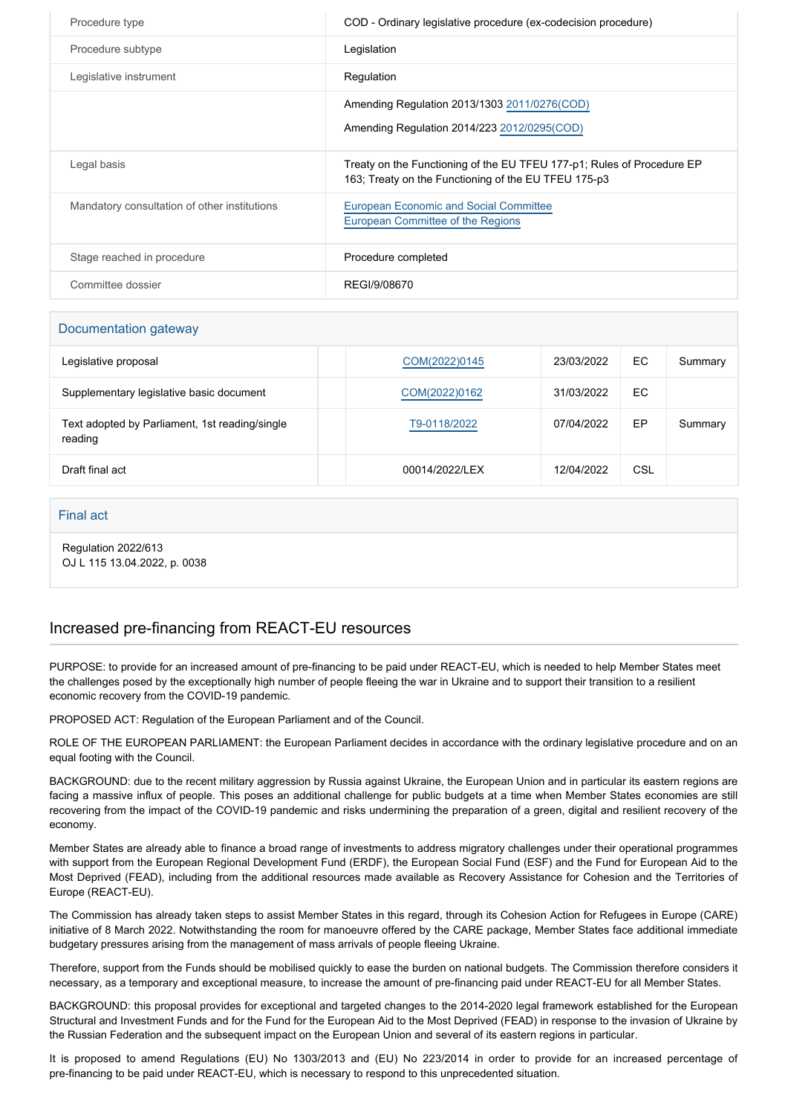| Procedure type                               | COD - Ordinary legislative procedure (ex-codecision procedure)                                                                 |
|----------------------------------------------|--------------------------------------------------------------------------------------------------------------------------------|
| Procedure subtype                            | Legislation                                                                                                                    |
| Legislative instrument                       | Regulation                                                                                                                     |
|                                              | Amending Regulation 2013/1303 2011/0276(COD)<br>Amending Regulation 2014/223 2012/0295(COD)                                    |
| Legal basis                                  | Treaty on the Functioning of the EU TFEU 177-p1; Rules of Procedure EP<br>163; Treaty on the Functioning of the EU TFEU 175-p3 |
| Mandatory consultation of other institutions | <b>European Economic and Social Committee</b><br>European Committee of the Regions                                             |
| Stage reached in procedure                   | Procedure completed                                                                                                            |
| Committee dossier                            | REGI/9/08670                                                                                                                   |

| Documentation gateway                                     |                |            |     |         |
|-----------------------------------------------------------|----------------|------------|-----|---------|
| Legislative proposal                                      | COM(2022)0145  | 23/03/2022 | EC  | Summary |
| Supplementary legislative basic document                  | COM(2022)0162  | 31/03/2022 | EC. |         |
| Text adopted by Parliament, 1st reading/single<br>reading | T9-0118/2022   | 07/04/2022 | EP  | Summary |
| Draft final act                                           | 00014/2022/LEX | 12/04/2022 | CSL |         |

#### Final act

Regulation 2022/613 OJ L 115 13.04.2022, p. 0038

### Increased pre-financing from REACT-EU resources

PURPOSE: to provide for an increased amount of pre-financing to be paid under REACT-EU, which is needed to help Member States meet the challenges posed by the exceptionally high number of people fleeing the war in Ukraine and to support their transition to a resilient economic recovery from the COVID-19 pandemic.

PROPOSED ACT: Regulation of the European Parliament and of the Council.

ROLE OF THE EUROPEAN PARLIAMENT: the European Parliament decides in accordance with the ordinary legislative procedure and on an equal footing with the Council.

BACKGROUND: due to the recent military aggression by Russia against Ukraine, the European Union and in particular its eastern regions are facing a massive influx of people. This poses an additional challenge for public budgets at a time when Member States economies are still recovering from the impact of the COVID-19 pandemic and risks undermining the preparation of a green, digital and resilient recovery of the economy.

Member States are already able to finance a broad range of investments to address migratory challenges under their operational programmes with support from the European Regional Development Fund (ERDF), the European Social Fund (ESF) and the Fund for European Aid to the Most Deprived (FEAD), including from the additional resources made available as Recovery Assistance for Cohesion and the Territories of Europe (REACT-EU).

The Commission has already taken steps to assist Member States in this regard, through its Cohesion Action for Refugees in Europe (CARE) initiative of 8 March 2022. Notwithstanding the room for manoeuvre offered by the CARE package, Member States face additional immediate budgetary pressures arising from the management of mass arrivals of people fleeing Ukraine.

Therefore, support from the Funds should be mobilised quickly to ease the burden on national budgets. The Commission therefore considers it necessary, as a temporary and exceptional measure, to increase the amount of pre-financing paid under REACT-EU for all Member States.

BACKGROUND: this proposal provides for exceptional and targeted changes to the 2014-2020 legal framework established for the European Structural and Investment Funds and for the Fund for the European Aid to the Most Deprived (FEAD) in response to the invasion of Ukraine by the Russian Federation and the subsequent impact on the European Union and several of its eastern regions in particular.

It is proposed to amend Regulations (EU) No 1303/2013 and (EU) No 223/2014 in order to provide for an increased percentage of pre-financing to be paid under REACT-EU, which is necessary to respond to this unprecedented situation.